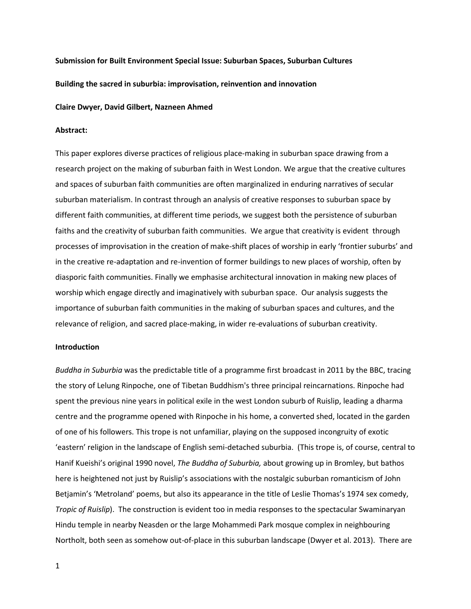**Submission for Built Environment Special Issue: Suburban Spaces, Suburban Cultures**

**Building the sacred in suburbia: improvisation, reinvention and innovation**

## **Claire Dwyer, David Gilbert, Nazneen Ahmed**

## **Abstract:**

This paper explores diverse practices of religious place-making in suburban space drawing from a research project on the making of suburban faith in West London. We argue that the creative cultures and spaces of suburban faith communities are often marginalized in enduring narratives of secular suburban materialism. In contrast through an analysis of creative responses to suburban space by different faith communities, at different time periods, we suggest both the persistence of suburban faiths and the creativity of suburban faith communities. We argue that creativity is evident through processes of improvisation in the creation of make-shift places of worship in early 'frontier suburbs' and in the creative re-adaptation and re-invention of former buildings to new places of worship, often by diasporic faith communities. Finally we emphasise architectural innovation in making new places of worship which engage directly and imaginatively with suburban space. Our analysis suggests the importance of suburban faith communities in the making of suburban spaces and cultures, and the relevance of religion, and sacred place-making, in wider re-evaluations of suburban creativity.

## **Introduction**

*Buddha in Suburbia* was the predictable title of a programme first broadcast in 2011 by the BBC, tracing the story of Lelung Rinpoche, one of Tibetan Buddhism's three principal reincarnations. Rinpoche had spent the previous nine years in political exile in the west London suburb of Ruislip, leading a dharma centre and the programme opened with Rinpoche in his home, a converted shed, located in the garden of one of his followers. This trope is not unfamiliar, playing on the supposed incongruity of exotic 'eastern' religion in the landscape of English semi-detached suburbia. (This trope is, of course, central to Hanif Kueishi's original 1990 novel, *The Buddha of Suburbia,* about growing up in Bromley, but bathos here is heightened not just by Ruislip's associations with the nostalgic suburban romanticism of John Betjamin's 'Metroland' poems, but also its appearance in the title of Leslie Thomas's 1974 sex comedy, *Tropic of Ruislip*). The construction is evident too in media responses to the spectacular Swaminaryan Hindu temple in nearby Neasden or the large Mohammedi Park mosque complex in neighbouring Northolt, both seen as somehow out-of-place in this suburban landscape (Dwyer et al. 2013). There are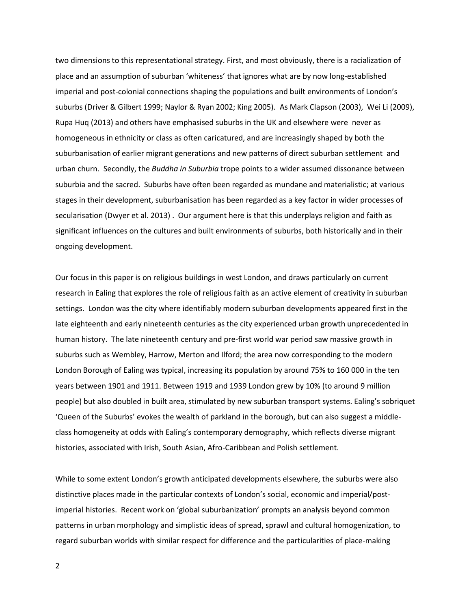two dimensions to this representational strategy. First, and most obviously, there is a racialization of place and an assumption of suburban 'whiteness' that ignores what are by now long-established imperial and post-colonial connections shaping the populations and built environments of London's suburbs (Driver & Gilbert 1999; Naylor & Ryan 2002; King 2005). As Mark Clapson (2003), Wei Li (2009), Rupa Huq (2013) and others have emphasised suburbs in the UK and elsewhere were never as homogeneous in ethnicity or class as often caricatured, and are increasingly shaped by both the suburbanisation of earlier migrant generations and new patterns of direct suburban settlement and urban churn. Secondly, the *Buddha in Suburbia* trope points to a wider assumed dissonance between suburbia and the sacred. Suburbs have often been regarded as mundane and materialistic; at various stages in their development, suburbanisation has been regarded as a key factor in wider processes of secularisation (Dwyer et al. 2013) . Our argument here is that this underplays religion and faith as significant influences on the cultures and built environments of suburbs, both historically and in their ongoing development.

Our focus in this paper is on religious buildings in west London, and draws particularly on current research in Ealing that explores the role of religious faith as an active element of creativity in suburban settings. London was the city where identifiably modern suburban developments appeared first in the late eighteenth and early nineteenth centuries as the city experienced urban growth unprecedented in human history. The late nineteenth century and pre-first world war period saw massive growth in suburbs such as Wembley, Harrow, Merton and Ilford; the area now corresponding to the modern London Borough of Ealing was typical, increasing its population by around 75% to 160 000 in the ten years between 1901 and 1911. Between 1919 and 1939 London grew by 10% (to around 9 million people) but also doubled in built area, stimulated by new suburban transport systems. Ealing's sobriquet 'Queen of the Suburbs' evokes the wealth of parkland in the borough, but can also suggest a middleclass homogeneity at odds with Ealing's contemporary demography, which reflects diverse migrant histories, associated with Irish, South Asian, Afro-Caribbean and Polish settlement.

While to some extent London's growth anticipated developments elsewhere, the suburbs were also distinctive places made in the particular contexts of London's social, economic and imperial/postimperial histories. Recent work on 'global suburbanization' prompts an analysis beyond common patterns in urban morphology and simplistic ideas of spread, sprawl and cultural homogenization, to regard suburban worlds with similar respect for difference and the particularities of place-making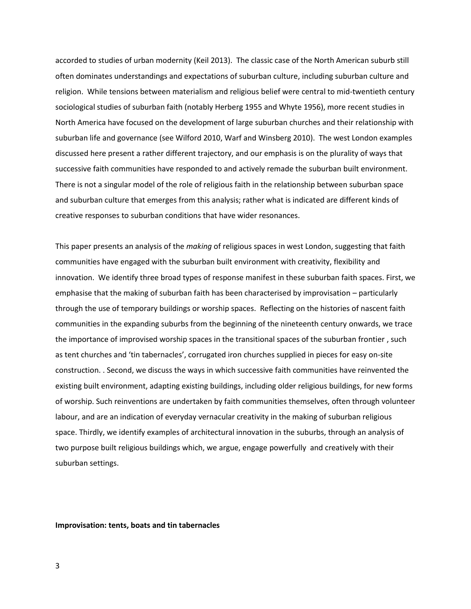accorded to studies of urban modernity (Keil 2013). The classic case of the North American suburb still often dominates understandings and expectations of suburban culture, including suburban culture and religion. While tensions between materialism and religious belief were central to mid-twentieth century sociological studies of suburban faith (notably Herberg 1955 and Whyte 1956), more recent studies in North America have focused on the development of large suburban churches and their relationship with suburban life and governance (see Wilford 2010, Warf and Winsberg 2010). The west London examples discussed here present a rather different trajectory, and our emphasis is on the plurality of ways that successive faith communities have responded to and actively remade the suburban built environment. There is not a singular model of the role of religious faith in the relationship between suburban space and suburban culture that emerges from this analysis; rather what is indicated are different kinds of creative responses to suburban conditions that have wider resonances.

This paper presents an analysis of the *making* of religious spaces in west London, suggesting that faith communities have engaged with the suburban built environment with creativity, flexibility and innovation. We identify three broad types of response manifest in these suburban faith spaces. First, we emphasise that the making of suburban faith has been characterised by improvisation – particularly through the use of temporary buildings or worship spaces. Reflecting on the histories of nascent faith communities in the expanding suburbs from the beginning of the nineteenth century onwards, we trace the importance of improvised worship spaces in the transitional spaces of the suburban frontier , such as tent churches and 'tin tabernacles', corrugated iron churches supplied in pieces for easy on-site construction. . Second, we discuss the ways in which successive faith communities have reinvented the existing built environment, adapting existing buildings, including older religious buildings, for new forms of worship. Such reinventions are undertaken by faith communities themselves, often through volunteer labour, and are an indication of everyday vernacular creativity in the making of suburban religious space. Thirdly, we identify examples of architectural innovation in the suburbs, through an analysis of two purpose built religious buildings which, we argue, engage powerfully and creatively with their suburban settings.

## **Improvisation: tents, boats and tin tabernacles**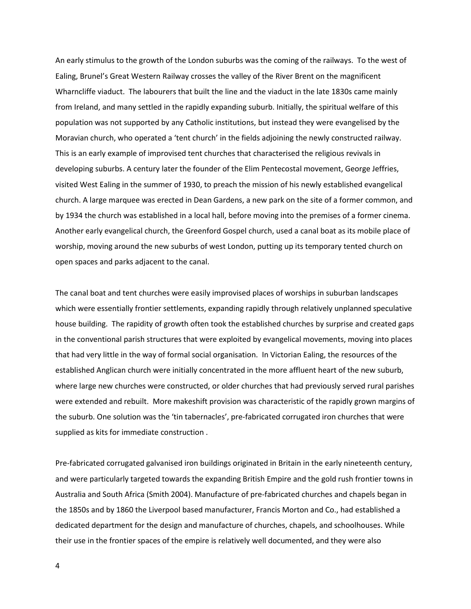An early stimulus to the growth of the London suburbs was the coming of the railways. To the west of Ealing, Brunel's Great Western Railway crosses the valley of the River Brent on the magnificent Wharncliffe viaduct. The labourers that built the line and the viaduct in the late 1830s came mainly from Ireland, and many settled in the rapidly expanding suburb. Initially, the spiritual welfare of this population was not supported by any Catholic institutions, but instead they were evangelised by the Moravian church, who operated a 'tent church' in the fields adjoining the newly constructed railway. This is an early example of improvised tent churches that characterised the religious revivals in developing suburbs. A century later the founder of the Elim Pentecostal movement, George Jeffries, visited West Ealing in the summer of 1930, to preach the mission of his newly established evangelical church. A large marquee was erected in Dean Gardens, a new park on the site of a former common, and by 1934 the church was established in a local hall, before moving into the premises of a former cinema. Another early evangelical church, the Greenford Gospel church, used a canal boat as its mobile place of worship, moving around the new suburbs of west London, putting up its temporary tented church on open spaces and parks adjacent to the canal.

The canal boat and tent churches were easily improvised places of worships in suburban landscapes which were essentially frontier settlements, expanding rapidly through relatively unplanned speculative house building. The rapidity of growth often took the established churches by surprise and created gaps in the conventional parish structures that were exploited by evangelical movements, moving into places that had very little in the way of formal social organisation. In Victorian Ealing, the resources of the established Anglican church were initially concentrated in the more affluent heart of the new suburb, where large new churches were constructed, or older churches that had previously served rural parishes were extended and rebuilt. More makeshift provision was characteristic of the rapidly grown margins of the suburb. One solution was the 'tin tabernacles', pre-fabricated corrugated iron churches that were supplied as kits for immediate construction .

Pre-fabricated corrugated galvanised iron buildings originated in Britain in the early nineteenth century, and were particularly targeted towards the expanding British Empire and the gold rush frontier towns in Australia and South Africa (Smith 2004). Manufacture of pre-fabricated churches and chapels began in the 1850s and by 1860 the Liverpool based manufacturer, Francis Morton and Co., had established a dedicated department for the design and manufacture of churches, chapels, and schoolhouses. While their use in the frontier spaces of the empire is relatively well documented, and they were also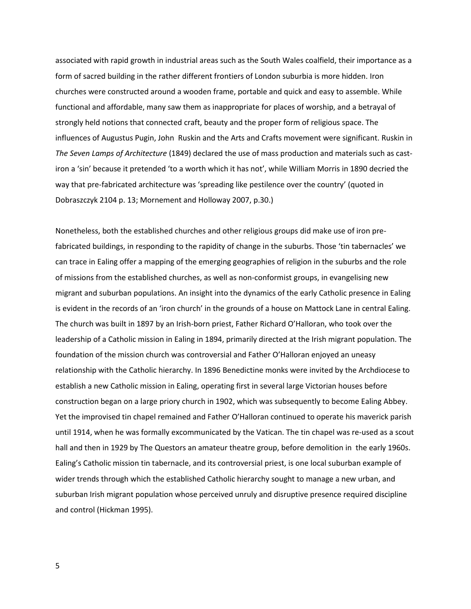associated with rapid growth in industrial areas such as the South Wales coalfield, their importance as a form of sacred building in the rather different frontiers of London suburbia is more hidden. Iron churches were constructed around a wooden frame, portable and quick and easy to assemble. While functional and affordable, many saw them as inappropriate for places of worship, and a betrayal of strongly held notions that connected craft, beauty and the proper form of religious space. The influences of Augustus Pugin, John Ruskin and the Arts and Crafts movement were significant. Ruskin in *The Seven Lamps of Architecture* (1849) declared the use of mass production and materials such as castiron a 'sin' because it pretended 'to a worth which it has not', while William Morris in 1890 decried the way that pre-fabricated architecture was 'spreading like pestilence over the country' (quoted in Dobraszczyk 2104 p. 13; Mornement and Holloway 2007, p.30.)

Nonetheless, both the established churches and other religious groups did make use of iron prefabricated buildings, in responding to the rapidity of change in the suburbs. Those 'tin tabernacles' we can trace in Ealing offer a mapping of the emerging geographies of religion in the suburbs and the role of missions from the established churches, as well as non-conformist groups, in evangelising new migrant and suburban populations. An insight into the dynamics of the early Catholic presence in Ealing is evident in the records of an 'iron church' in the grounds of a house on Mattock Lane in central Ealing. The church was built in 1897 by an Irish-born priest, Father Richard O'Halloran, who took over the leadership of a Catholic mission in Ealing in 1894, primarily directed at the Irish migrant population. The foundation of the mission church was controversial and Father O'Halloran enjoyed an uneasy relationship with the Catholic hierarchy. In 1896 Benedictine monks were invited by the Archdiocese to establish a new Catholic mission in Ealing, operating first in several large Victorian houses before construction began on a large priory church in 1902, which was subsequently to become Ealing Abbey. Yet the improvised tin chapel remained and Father O'Halloran continued to operate his maverick parish until 1914, when he was formally excommunicated by the Vatican. The tin chapel was re-used as a scout hall and then in 1929 by The Questors an amateur theatre group, before demolition in the early 1960s. Ealing's Catholic mission tin tabernacle, and its controversial priest, is one local suburban example of wider trends through which the established Catholic hierarchy sought to manage a new urban, and suburban Irish migrant population whose perceived unruly and disruptive presence required discipline and control (Hickman 1995).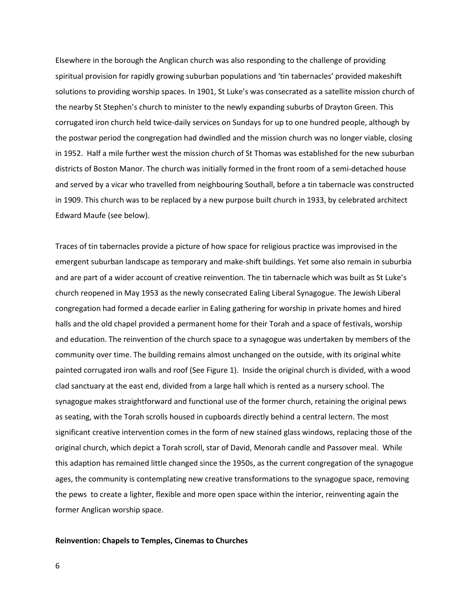Elsewhere in the borough the Anglican church was also responding to the challenge of providing spiritual provision for rapidly growing suburban populations and 'tin tabernacles' provided makeshift solutions to providing worship spaces. In 1901, St Luke's was consecrated as a satellite mission church of the nearby St Stephen's church to minister to the newly expanding suburbs of Drayton Green. This corrugated iron church held twice-daily services on Sundays for up to one hundred people, although by the postwar period the congregation had dwindled and the mission church was no longer viable, closing in 1952. Half a mile further west the mission church of St Thomas was established for the new suburban districts of Boston Manor. The church was initially formed in the front room of a semi-detached house and served by a vicar who travelled from neighbouring Southall, before a tin tabernacle was constructed in 1909. This church was to be replaced by a new purpose built church in 1933, by celebrated architect Edward Maufe (see below).

Traces of tin tabernacles provide a picture of how space for religious practice was improvised in the emergent suburban landscape as temporary and make-shift buildings. Yet some also remain in suburbia and are part of a wider account of creative reinvention. The tin tabernacle which was built as St Luke's church reopened in May 1953 as the newly consecrated Ealing Liberal Synagogue. The Jewish Liberal congregation had formed a decade earlier in Ealing gathering for worship in private homes and hired halls and the old chapel provided a permanent home for their Torah and a space of festivals, worship and education. The reinvention of the church space to a synagogue was undertaken by members of the community over time. The building remains almost unchanged on the outside, with its original white painted corrugated iron walls and roof (See Figure 1). Inside the original church is divided, with a wood clad sanctuary at the east end, divided from a large hall which is rented as a nursery school. The synagogue makes straightforward and functional use of the former church, retaining the original pews as seating, with the Torah scrolls housed in cupboards directly behind a central lectern. The most significant creative intervention comes in the form of new stained glass windows, replacing those of the original church, which depict a Torah scroll, star of David, Menorah candle and Passover meal. While this adaption has remained little changed since the 1950s, as the current congregation of the synagogue ages, the community is contemplating new creative transformations to the synagogue space, removing the pews to create a lighter, flexible and more open space within the interior, reinventing again the former Anglican worship space.

# **Reinvention: Chapels to Temples, Cinemas to Churches**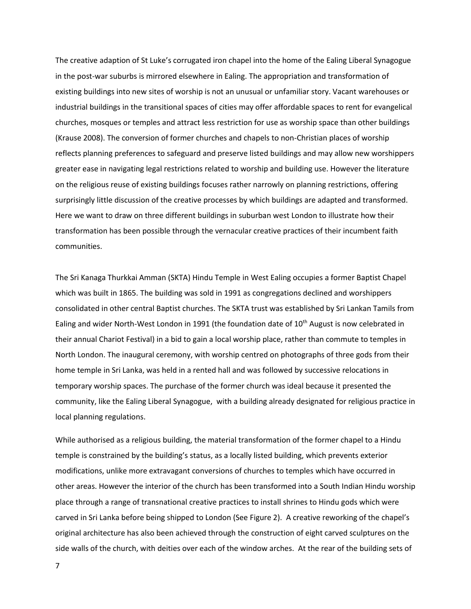The creative adaption of St Luke's corrugated iron chapel into the home of the Ealing Liberal Synagogue in the post-war suburbs is mirrored elsewhere in Ealing. The appropriation and transformation of existing buildings into new sites of worship is not an unusual or unfamiliar story. Vacant warehouses or industrial buildings in the transitional spaces of cities may offer affordable spaces to rent for evangelical churches, mosques or temples and attract less restriction for use as worship space than other buildings (Krause 2008). The conversion of former churches and chapels to non-Christian places of worship reflects planning preferences to safeguard and preserve listed buildings and may allow new worshippers greater ease in navigating legal restrictions related to worship and building use. However the literature on the religious reuse of existing buildings focuses rather narrowly on planning restrictions, offering surprisingly little discussion of the creative processes by which buildings are adapted and transformed. Here we want to draw on three different buildings in suburban west London to illustrate how their transformation has been possible through the vernacular creative practices of their incumbent faith communities.

The Sri Kanaga Thurkkai Amman (SKTA) Hindu Temple in West Ealing occupies a former Baptist Chapel which was built in 1865. The building was sold in 1991 as congregations declined and worshippers consolidated in other central Baptist churches. The SKTA trust was established by Sri Lankan Tamils from Ealing and wider North-West London in 1991 (the foundation date of  $10<sup>th</sup>$  August is now celebrated in their annual Chariot Festival) in a bid to gain a local worship place, rather than commute to temples in North London. The inaugural ceremony, with worship centred on photographs of three gods from their home temple in Sri Lanka, was held in a rented hall and was followed by successive relocations in temporary worship spaces. The purchase of the former church was ideal because it presented the community, like the Ealing Liberal Synagogue, with a building already designated for religious practice in local planning regulations.

While authorised as a religious building, the material transformation of the former chapel to a Hindu temple is constrained by the building's status, as a locally listed building, which prevents exterior modifications, unlike more extravagant conversions of churches to temples which have occurred in other areas. However the interior of the church has been transformed into a South Indian Hindu worship place through a range of transnational creative practices to install shrines to Hindu gods which were carved in Sri Lanka before being shipped to London (See Figure 2). A creative reworking of the chapel's original architecture has also been achieved through the construction of eight carved sculptures on the side walls of the church, with deities over each of the window arches. At the rear of the building sets of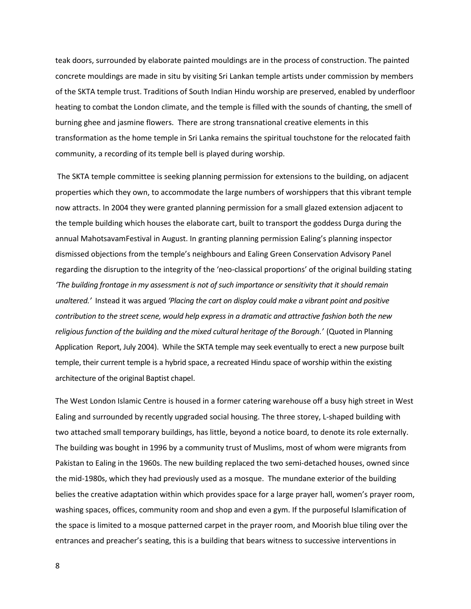teak doors, surrounded by elaborate painted mouldings are in the process of construction. The painted concrete mouldings are made in situ by visiting Sri Lankan temple artists under commission by members of the SKTA temple trust. Traditions of South Indian Hindu worship are preserved, enabled by underfloor heating to combat the London climate, and the temple is filled with the sounds of chanting, the smell of burning ghee and jasmine flowers. There are strong transnational creative elements in this transformation as the home temple in Sri Lanka remains the spiritual touchstone for the relocated faith community, a recording of its temple bell is played during worship.

The SKTA temple committee is seeking planning permission for extensions to the building, on adjacent properties which they own, to accommodate the large numbers of worshippers that this vibrant temple now attracts. In 2004 they were granted planning permission for a small glazed extension adjacent to the temple building which houses the elaborate cart, built to transport the goddess Durga during the annual MahotsavamFestival in August. In granting planning permission Ealing's planning inspector dismissed objections from the temple's neighbours and Ealing Green Conservation Advisory Panel regarding the disruption to the integrity of the 'neo-classical proportions' of the original building stating *'The building frontage in my assessment is not of such importance or sensitivity that it should remain unaltered.'* Instead it was argued *'Placing the cart on display could make a vibrant point and positive contribution to the street scene, would help express in a dramatic and attractive fashion both the new religious function of the building and the mixed cultural heritage of the Borough.'* (Quoted in Planning Application Report, July 2004). While the SKTA temple may seek eventually to erect a new purpose built temple, their current temple is a hybrid space, a recreated Hindu space of worship within the existing architecture of the original Baptist chapel.

The West London Islamic Centre is housed in a former catering warehouse off a busy high street in West Ealing and surrounded by recently upgraded social housing. The three storey, L-shaped building with two attached small temporary buildings, has little, beyond a notice board, to denote its role externally. The building was bought in 1996 by a community trust of Muslims, most of whom were migrants from Pakistan to Ealing in the 1960s. The new building replaced the two semi-detached houses, owned since the mid-1980s, which they had previously used as a mosque. The mundane exterior of the building belies the creative adaptation within which provides space for a large prayer hall, women's prayer room, washing spaces, offices, community room and shop and even a gym. If the purposeful Islamification of the space is limited to a mosque patterned carpet in the prayer room, and Moorish blue tiling over the entrances and preacher's seating, this is a building that bears witness to successive interventions in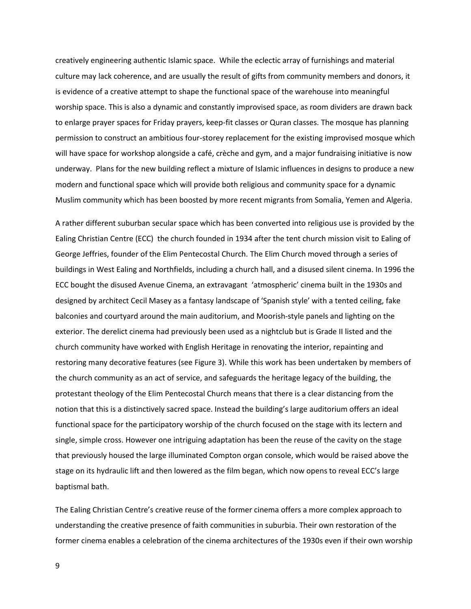creatively engineering authentic Islamic space. While the eclectic array of furnishings and material culture may lack coherence, and are usually the result of gifts from community members and donors, it is evidence of a creative attempt to shape the functional space of the warehouse into meaningful worship space. This is also a dynamic and constantly improvised space, as room dividers are drawn back to enlarge prayer spaces for Friday prayers, keep-fit classes or Quran classes. The mosque has planning permission to construct an ambitious four-storey replacement for the existing improvised mosque which will have space for workshop alongside a café, crèche and gym, and a major fundraising initiative is now underway. Plans for the new building reflect a mixture of Islamic influences in designs to produce a new modern and functional space which will provide both religious and community space for a dynamic Muslim community which has been boosted by more recent migrants from Somalia, Yemen and Algeria.

A rather different suburban secular space which has been converted into religious use is provided by the Ealing Christian Centre (ECC) the church founded in 1934 after the tent church mission visit to Ealing of George Jeffries, founder of the Elim Pentecostal Church. The Elim Church moved through a series of buildings in West Ealing and Northfields, including a church hall, and a disused silent cinema. In 1996 the ECC bought the disused Avenue Cinema, an extravagant 'atmospheric' cinema built in the 1930s and designed by architect Cecil Masey as a fantasy landscape of 'Spanish style' with a tented ceiling, fake balconies and courtyard around the main auditorium, and Moorish-style panels and lighting on the exterior. The derelict cinema had previously been used as a nightclub but is Grade II listed and the church community have worked with English Heritage in renovating the interior, repainting and restoring many decorative features (see Figure 3). While this work has been undertaken by members of the church community as an act of service, and safeguards the heritage legacy of the building, the protestant theology of the Elim Pentecostal Church means that there is a clear distancing from the notion that this is a distinctively sacred space. Instead the building's large auditorium offers an ideal functional space for the participatory worship of the church focused on the stage with its lectern and single, simple cross. However one intriguing adaptation has been the reuse of the cavity on the stage that previously housed the large illuminated Compton organ console, which would be raised above the stage on its hydraulic lift and then lowered as the film began, which now opens to reveal ECC's large baptismal bath.

The Ealing Christian Centre's creative reuse of the former cinema offers a more complex approach to understanding the creative presence of faith communities in suburbia. Their own restoration of the former cinema enables a celebration of the cinema architectures of the 1930s even if their own worship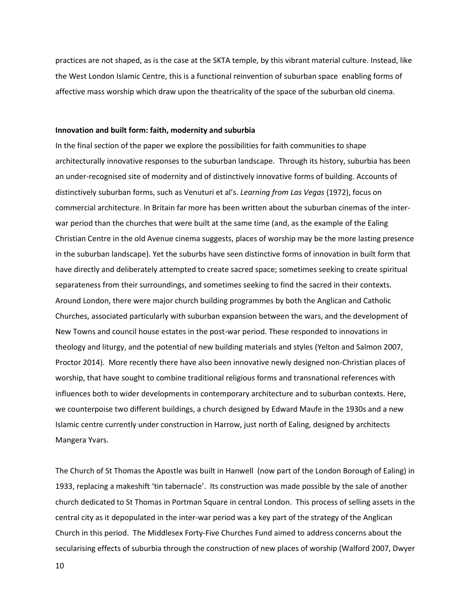practices are not shaped, as is the case at the SKTA temple, by this vibrant material culture. Instead, like the West London Islamic Centre, this is a functional reinvention of suburban space enabling forms of affective mass worship which draw upon the theatricality of the space of the suburban old cinema.

# **Innovation and built form: faith, modernity and suburbia**

In the final section of the paper we explore the possibilities for faith communities to shape architecturally innovative responses to the suburban landscape. Through its history, suburbia has been an under-recognised site of modernity and of distinctively innovative forms of building. Accounts of distinctively suburban forms, such as Venuturi et al's. *Learning from Las Vegas* (1972), focus on commercial architecture. In Britain far more has been written about the suburban cinemas of the interwar period than the churches that were built at the same time (and, as the example of the Ealing Christian Centre in the old Avenue cinema suggests, places of worship may be the more lasting presence in the suburban landscape). Yet the suburbs have seen distinctive forms of innovation in built form that have directly and deliberately attempted to create sacred space; sometimes seeking to create spiritual separateness from their surroundings, and sometimes seeking to find the sacred in their contexts. Around London, there were major church building programmes by both the Anglican and Catholic Churches, associated particularly with suburban expansion between the wars, and the development of New Towns and council house estates in the post-war period. These responded to innovations in theology and liturgy, and the potential of new building materials and styles (Yelton and Salmon 2007, Proctor 2014). More recently there have also been innovative newly designed non-Christian places of worship, that have sought to combine traditional religious forms and transnational references with influences both to wider developments in contemporary architecture and to suburban contexts. Here, we counterpoise two different buildings, a church designed by Edward Maufe in the 1930s and a new Islamic centre currently under construction in Harrow, just north of Ealing, designed by architects Mangera Yvars.

The Church of St Thomas the Apostle was built in Hanwell (now part of the London Borough of Ealing) in 1933, replacing a makeshift 'tin tabernacle'. Its construction was made possible by the sale of another church dedicated to St Thomas in Portman Square in central London. This process of selling assets in the central city as it depopulated in the inter-war period was a key part of the strategy of the Anglican Church in this period. The Middlesex Forty-Five Churches Fund aimed to address concerns about the secularising effects of suburbia through the construction of new places of worship (Walford 2007, Dwyer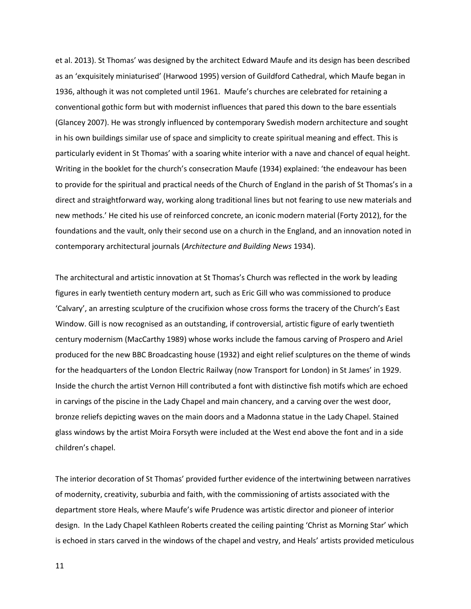et al. 2013). St Thomas' was designed by the architect Edward Maufe and its design has been described as an 'exquisitely miniaturised' (Harwood 1995) version of Guildford Cathedral, which Maufe began in 1936, although it was not completed until 1961. Maufe's churches are celebrated for retaining a conventional gothic form but with modernist influences that pared this down to the bare essentials (Glancey 2007). He was strongly influenced by contemporary Swedish modern architecture and sought in his own buildings similar use of space and simplicity to create spiritual meaning and effect. This is particularly evident in St Thomas' with a soaring white interior with a nave and chancel of equal height. Writing in the booklet for the church's consecration Maufe (1934) explained: 'the endeavour has been to provide for the spiritual and practical needs of the Church of England in the parish of St Thomas's in a direct and straightforward way, working along traditional lines but not fearing to use new materials and new methods.' He cited his use of reinforced concrete, an iconic modern material (Forty 2012), for the foundations and the vault, only their second use on a church in the England, and an innovation noted in contemporary architectural journals (*Architecture and Building News* 1934).

The architectural and artistic innovation at St Thomas's Church was reflected in the work by leading figures in early twentieth century modern art, such as Eric Gill who was commissioned to produce 'Calvary', an arresting sculpture of the crucifixion whose cross forms the tracery of the Church's East Window. Gill is now recognised as an outstanding, if controversial, artistic figure of early twentieth century modernism (MacCarthy 1989) whose works include the famous carving of Prospero and Ariel produced for the new BBC Broadcasting house (1932) and eight relief sculptures on the theme of winds for the headquarters of the London Electric Railway (now Transport for London) in St James' in 1929. Inside the church the artist Vernon Hill contributed a font with distinctive fish motifs which are echoed in carvings of the piscine in the Lady Chapel and main chancery, and a carving over the west door, bronze reliefs depicting waves on the main doors and a Madonna statue in the Lady Chapel. Stained glass windows by the artist Moira Forsyth were included at the West end above the font and in a side children's chapel.

The interior decoration of St Thomas' provided further evidence of the intertwining between narratives of modernity, creativity, suburbia and faith, with the commissioning of artists associated with the department store Heals, where Maufe's wife Prudence was artistic director and pioneer of interior design. In the Lady Chapel Kathleen Roberts created the ceiling painting 'Christ as Morning Star' which is echoed in stars carved in the windows of the chapel and vestry, and Heals' artists provided meticulous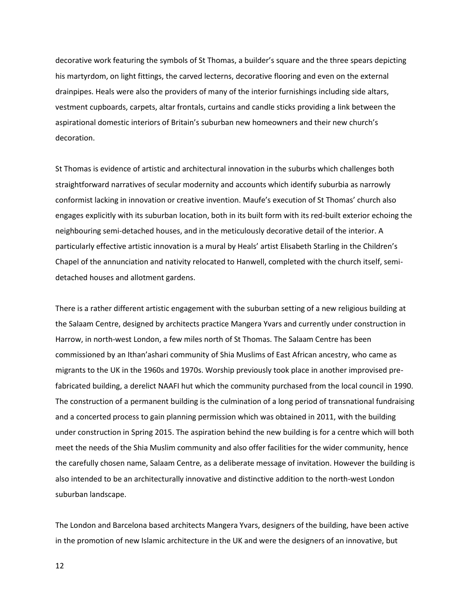decorative work featuring the symbols of St Thomas, a builder's square and the three spears depicting his martyrdom, on light fittings, the carved lecterns, decorative flooring and even on the external drainpipes. Heals were also the providers of many of the interior furnishings including side altars, vestment cupboards, carpets, altar frontals, curtains and candle sticks providing a link between the aspirational domestic interiors of Britain's suburban new homeowners and their new church's decoration.

St Thomas is evidence of artistic and architectural innovation in the suburbs which challenges both straightforward narratives of secular modernity and accounts which identify suburbia as narrowly conformist lacking in innovation or creative invention. Maufe's execution of St Thomas' church also engages explicitly with its suburban location, both in its built form with its red-built exterior echoing the neighbouring semi-detached houses, and in the meticulously decorative detail of the interior. A particularly effective artistic innovation is a mural by Heals' artist Elisabeth Starling in the Children's Chapel of the annunciation and nativity relocated to Hanwell, completed with the church itself, semidetached houses and allotment gardens.

There is a rather different artistic engagement with the suburban setting of a new religious building at the Salaam Centre, designed by architects practice Mangera Yvars and currently under construction in Harrow, in north-west London, a few miles north of St Thomas. The Salaam Centre has been commissioned by an Ithan'ashari community of Shia Muslims of East African ancestry, who came as migrants to the UK in the 1960s and 1970s. Worship previously took place in another improvised prefabricated building, a derelict NAAFI hut which the community purchased from the local council in 1990. The construction of a permanent building is the culmination of a long period of transnational fundraising and a concerted process to gain planning permission which was obtained in 2011, with the building under construction in Spring 2015. The aspiration behind the new building is for a centre which will both meet the needs of the Shia Muslim community and also offer facilities for the wider community, hence the carefully chosen name, Salaam Centre, as a deliberate message of invitation. However the building is also intended to be an architecturally innovative and distinctive addition to the north-west London suburban landscape.

The London and Barcelona based architects Mangera Yvars, designers of the building, have been active in the promotion of new Islamic architecture in the UK and were the designers of an innovative, but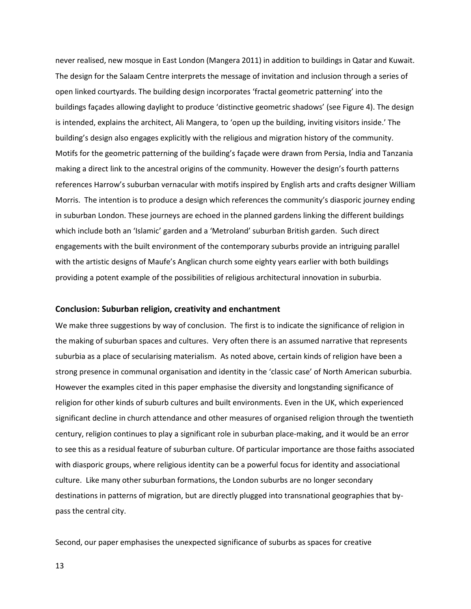never realised, new mosque in East London (Mangera 2011) in addition to buildings in Qatar and Kuwait. The design for the Salaam Centre interprets the message of invitation and inclusion through a series of open linked courtyards. The building design incorporates 'fractal geometric patterning' into the buildings façades allowing daylight to produce 'distinctive geometric shadows' (see Figure 4). The design is intended, explains the architect, Ali Mangera, to 'open up the building, inviting visitors inside.' The building's design also engages explicitly with the religious and migration history of the community. Motifs for the geometric patterning of the building's façade were drawn from Persia, India and Tanzania making a direct link to the ancestral origins of the community. However the design's fourth patterns references Harrow's suburban vernacular with motifs inspired by English arts and crafts designer William Morris. The intention is to produce a design which references the community's diasporic journey ending in suburban London. These journeys are echoed in the planned gardens linking the different buildings which include both an 'Islamic' garden and a 'Metroland' suburban British garden. Such direct engagements with the built environment of the contemporary suburbs provide an intriguing parallel with the artistic designs of Maufe's Anglican church some eighty years earlier with both buildings providing a potent example of the possibilities of religious architectural innovation in suburbia.

# **Conclusion: Suburban religion, creativity and enchantment**

We make three suggestions by way of conclusion. The first is to indicate the significance of religion in the making of suburban spaces and cultures. Very often there is an assumed narrative that represents suburbia as a place of secularising materialism. As noted above, certain kinds of religion have been a strong presence in communal organisation and identity in the 'classic case' of North American suburbia. However the examples cited in this paper emphasise the diversity and longstanding significance of religion for other kinds of suburb cultures and built environments. Even in the UK, which experienced significant decline in church attendance and other measures of organised religion through the twentieth century, religion continues to play a significant role in suburban place-making, and it would be an error to see this as a residual feature of suburban culture. Of particular importance are those faiths associated with diasporic groups, where religious identity can be a powerful focus for identity and associational culture. Like many other suburban formations, the London suburbs are no longer secondary destinations in patterns of migration, but are directly plugged into transnational geographies that bypass the central city.

Second, our paper emphasises the unexpected significance of suburbs as spaces for creative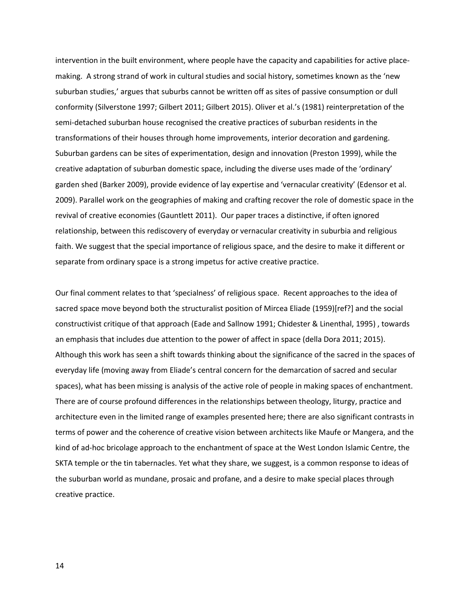intervention in the built environment, where people have the capacity and capabilities for active placemaking. A strong strand of work in cultural studies and social history, sometimes known as the 'new suburban studies,' argues that suburbs cannot be written off as sites of passive consumption or dull conformity (Silverstone 1997; Gilbert 2011; Gilbert 2015). Oliver et al.'s (1981) reinterpretation of the semi-detached suburban house recognised the creative practices of suburban residents in the transformations of their houses through home improvements, interior decoration and gardening. Suburban gardens can be sites of experimentation, design and innovation (Preston 1999), while the creative adaptation of suburban domestic space, including the diverse uses made of the 'ordinary' garden shed (Barker 2009), provide evidence of lay expertise and 'vernacular creativity' (Edensor et al. 2009). Parallel work on the geographies of making and crafting recover the role of domestic space in the revival of creative economies (Gauntlett 2011). Our paper traces a distinctive, if often ignored relationship, between this rediscovery of everyday or vernacular creativity in suburbia and religious faith. We suggest that the special importance of religious space, and the desire to make it different or separate from ordinary space is a strong impetus for active creative practice.

Our final comment relates to that 'specialness' of religious space. Recent approaches to the idea of sacred space move beyond both the structuralist position of Mircea Eliade (1959)[ref?] and the social constructivist critique of that approach (Eade and Sallnow 1991; Chidester & Linenthal, 1995) , towards an emphasis that includes due attention to the power of affect in space (della Dora 2011; 2015). Although this work has seen a shift towards thinking about the significance of the sacred in the spaces of everyday life (moving away from Eliade's central concern for the demarcation of sacred and secular spaces), what has been missing is analysis of the active role of people in making spaces of enchantment. There are of course profound differences in the relationships between theology, liturgy, practice and architecture even in the limited range of examples presented here; there are also significant contrasts in terms of power and the coherence of creative vision between architects like Maufe or Mangera, and the kind of ad-hoc bricolage approach to the enchantment of space at the West London Islamic Centre, the SKTA temple or the tin tabernacles. Yet what they share, we suggest, is a common response to ideas of the suburban world as mundane, prosaic and profane, and a desire to make special places through creative practice.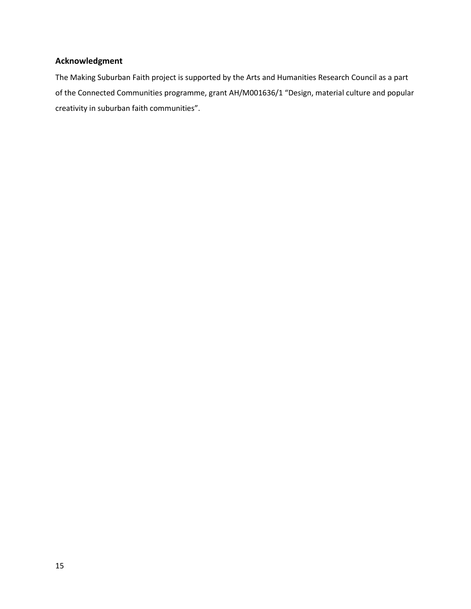# **Acknowledgment**

The Making Suburban Faith project is supported by the Arts and Humanities Research Council as a part of the Connected Communities programme, grant AH/M001636/1 "Design, material culture and popular creativity in suburban faith communities".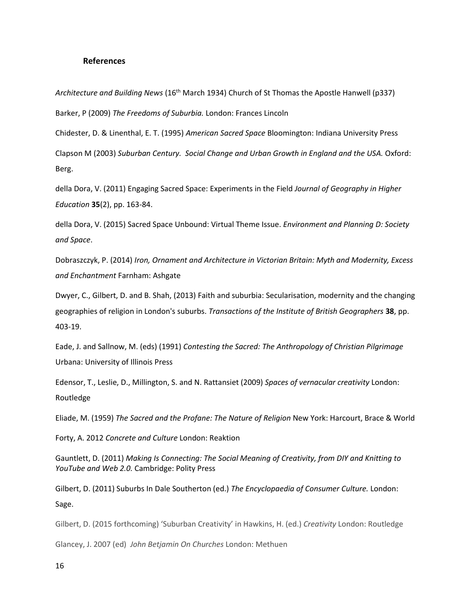# **References**

Architecture and Building News (16<sup>th</sup> March 1934) Church of St Thomas the Apostle Hanwell (p337)

Barker, P (2009) *The Freedoms of Suburbia.* London: Frances Lincoln

Chidester, D. & Linenthal, E. T. (1995) *American Sacred Space* Bloomington: Indiana University Press

Clapson M (2003) *Suburban Century. Social Change and Urban Growth in England and the USA.* Oxford: Berg.

della Dora, V. (2011) Engaging Sacred Space: Experiments in the Field *Journal of Geography in Higher Education* **35**(2), pp. 163-84.

della Dora, V. (2015) Sacred Space Unbound: Virtual Theme Issue. *Environment and Planning D: Society and Space*.

Dobraszczyk, P. (2014) *Iron, Ornament and Architecture in Victorian Britain: Myth and Modernity, Excess and Enchantment* Farnham: Ashgate

Dwyer, C., Gilbert, D. and B. Shah, (2013) Faith and suburbia: Secularisation, modernity and the changing geographies of religion in London's suburbs. *Transactions of the Institute of British Geographers* **38**, pp. 403-19.

Eade, J. and Sallnow, M. (eds) (1991) *Contesting the Sacred: The Anthropology of Christian Pilgrimage* Urbana: University of Illinois Press

Edensor, T., Leslie, D., Millington, S. and N. Rattansiet (2009) *Spaces of vernacular creativity* London: Routledge

Eliade, M. (1959) *The Sacred and the Profane: The Nature of Religion* New York: Harcourt, Brace & World

Forty, A. 2012 *Concrete and Culture* London: Reaktion

Gauntlett, D. (2011) *Making Is Connecting: The Social Meaning of Creativity, from DIY and Knitting to YouTube and Web 2.0.* Cambridge: Polity Press

Gilbert, D. (2011) Suburbs In Dale Southerton (ed.) *The Encyclopaedia of Consumer Culture.* London: Sage.

Gilbert, D. (2015 forthcoming) 'Suburban Creativity' in Hawkins, H. (ed.) *Creativity* London: Routledge

Glancey, J. 2007 (ed) *John Betjamin On Churches* London: Methuen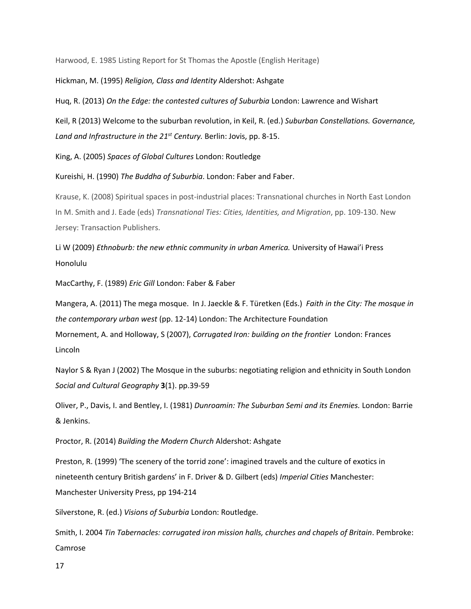Harwood, E. 1985 Listing Report for St Thomas the Apostle (English Heritage)

Hickman, M. (1995) *Religion, Class and Identity* Aldershot: Ashgate

Huq, R. (2013) *On the Edge: the contested cultures of Suburbia* London: Lawrence and Wishart

Keil, R (2013) Welcome to the suburban revolution, in Keil, R. (ed.) *Suburban Constellations. Governance, Land and Infrastructure in the 21st Century.* Berlin: Jovis, pp. 8-15.

King, A. (2005) *Spaces of Global Cultures* London: Routledge

Kureishi, H. (1990) *The Buddha of Suburbia*. London: Faber and Faber.

Krause, K. (2008) Spiritual spaces in post-industrial places: Transnational churches in North East London In M. Smith and J. Eade (eds) *Transnational Ties: Cities, Identities, and Migration*, pp. 109-130. New Jersey: Transaction Publishers.

Li W (2009) *Ethnoburb: the new ethnic community in urban America.* University of Hawai'i Press Honolulu

MacCarthy, F. (1989) *Eric Gill* London: Faber & Faber

Mangera, A. (2011) The mega mosque. In J. Jaeckle & F. Türetken (Eds.) *Faith in the City: The mosque in the contemporary urban west* (pp. 12-14) London: The Architecture Foundation Mornement, A. and Holloway, S (2007), *Corrugated Iron: building on the frontier* London: Frances Lincoln

Naylor S & Ryan J (2002) The Mosque in the suburbs: negotiating religion and ethnicity in South London *Social and Cultural Geography* **3**(1). pp.39-59

Oliver, P., Davis, I. and Bentley, I. (1981) *Dunroamin: The Suburban Semi and its Enemies.* London: Barrie & Jenkins.

Proctor, R. (2014) *Building the Modern Church* Aldershot: Ashgate

Preston, R. (1999) 'The scenery of the torrid zone': imagined travels and the culture of exotics in nineteenth century British gardens' in F. Driver & D. Gilbert (eds) *Imperial Cities* Manchester: Manchester University Press, pp 194-214

Silverstone, R. (ed.) *Visions of Suburbia* London: Routledge.

Smith, I. 2004 *Tin Tabernacles: corrugated iron mission halls, churches and chapels of Britain*. Pembroke: Camrose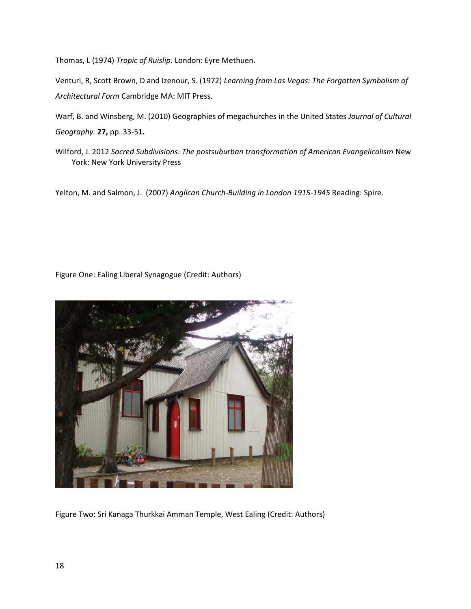Thomas, L (1974) *Tropic of Ruislip.* London: Eyre Methuen.

Venturi, R, Scott Brown, D and Izenour, S. (1972) *Learning from Las Vegas: The Forgotten Symbolism of Architectural Form* Cambridge MA: MIT Press.

Warf, B. and Winsberg, M. (2010) Geographies of megachurches in the United States *Journal of Cultural Geography.* **27,** pp. 33-5**1.**

Wilford, J. 2012 *Sacred Subdivisions: The postsuburban transformation of American Evangelicalism* New York: New York University Press

Yelton, M. and Salmon, J. (2007) *Anglican Church-Building in London 1915-1945* Reading: Spire.

Figure One: Ealing Liberal Synagogue (Credit: Authors)



Figure Two: Sri Kanaga Thurkkai Amman Temple, West Ealing (Credit: Authors)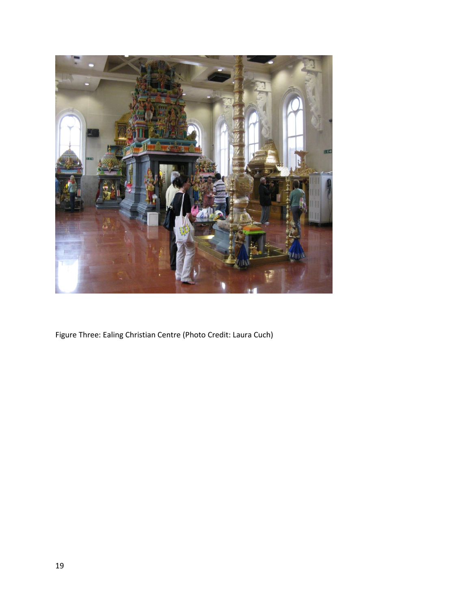

Figure Three: Ealing Christian Centre (Photo Credit: Laura Cuch)